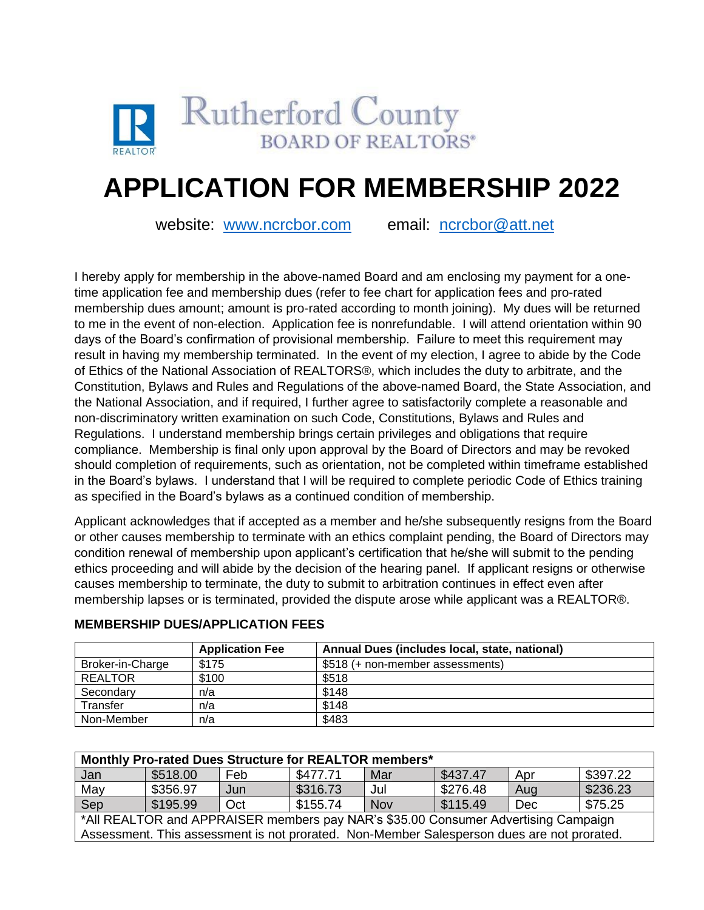

# **APPLICATION FOR MEMBERSHIP 2022**

website: [www.ncrcbor.com](http://www.ncrcbor.com/) email: [ncrcbor@att.net](mailto:ncrcbor@att.net)

I hereby apply for membership in the above-named Board and am enclosing my payment for a onetime application fee and membership dues (refer to fee chart for application fees and pro-rated membership dues amount; amount is pro-rated according to month joining). My dues will be returned to me in the event of non-election. Application fee is nonrefundable. I will attend orientation within 90 days of the Board's confirmation of provisional membership. Failure to meet this requirement may result in having my membership terminated. In the event of my election, I agree to abide by the Code of Ethics of the National Association of REALTORS®, which includes the duty to arbitrate, and the Constitution, Bylaws and Rules and Regulations of the above-named Board, the State Association, and the National Association, and if required, I further agree to satisfactorily complete a reasonable and non-discriminatory written examination on such Code, Constitutions, Bylaws and Rules and Regulations. I understand membership brings certain privileges and obligations that require compliance. Membership is final only upon approval by the Board of Directors and may be revoked should completion of requirements, such as orientation, not be completed within timeframe established in the Board's bylaws. I understand that I will be required to complete periodic Code of Ethics training as specified in the Board's bylaws as a continued condition of membership.

Applicant acknowledges that if accepted as a member and he/she subsequently resigns from the Board or other causes membership to terminate with an ethics complaint pending, the Board of Directors may condition renewal of membership upon applicant's certification that he/she will submit to the pending ethics proceeding and will abide by the decision of the hearing panel. If applicant resigns or otherwise causes membership to terminate, the duty to submit to arbitration continues in effect even after membership lapses or is terminated, provided the dispute arose while applicant was a REALTOR®.

|                  | <b>Application Fee</b> | Annual Dues (includes local, state, national) |
|------------------|------------------------|-----------------------------------------------|
| Broker-in-Charge | \$175                  | \$518 (+ non-member assessments)              |
| <b>REALTOR</b>   | \$100                  | \$518                                         |
| Secondary        | n/a                    | \$148                                         |
| Transfer         | n/a                    | \$148                                         |
| Non-Member       | n/a                    | \$483                                         |

## **MEMBERSHIP DUES/APPLICATION FEES**

| Monthly Pro-rated Dues Structure for REALTOR members*                                      |          |     |          |            |                        |     |          |
|--------------------------------------------------------------------------------------------|----------|-----|----------|------------|------------------------|-----|----------|
| Jan                                                                                        | \$518.00 | Feb | \$477.71 | Mar        | \$437.47               | Apr | \$397.22 |
| May                                                                                        | \$356.97 | Jun | \$316.73 | Jul        | \$276.48               | Aug | \$236.23 |
| Sep                                                                                        | \$195.99 | Oct | \$155.74 | <b>Nov</b> | $\frac{1}{2}$ \$115.49 | Dec | \$75.25  |
| *All REALTOR and APPRAISER members pay NAR's \$35.00 Consumer Advertising Campaign         |          |     |          |            |                        |     |          |
| Assessment. This assessment is not prorated. Non-Member Salesperson dues are not prorated. |          |     |          |            |                        |     |          |